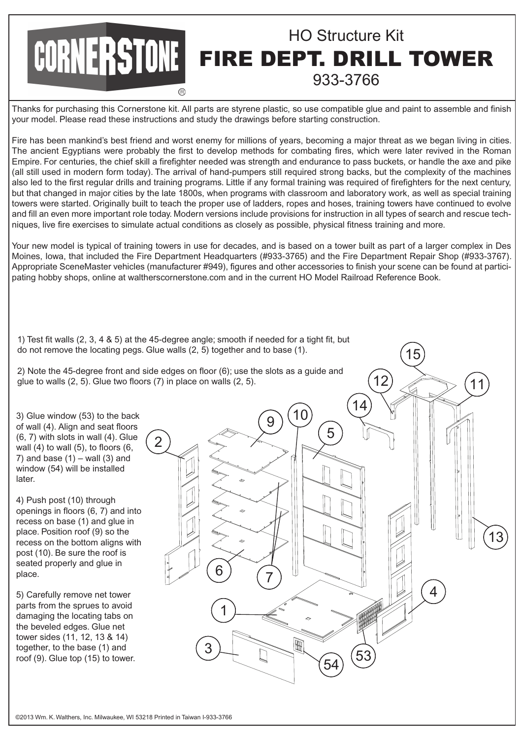## HO Structure Kit CORNERSTONE FIRE DEPT. DRILL TOWER 933-3766

Thanks for purchasing this Cornerstone kit. All parts are styrene plastic, so use compatible glue and paint to assemble and finish your model. Please read these instructions and study the drawings before starting construction.

Fire has been mankind's best friend and worst enemy for millions of years, becoming a major threat as we began living in cities. The ancient Egyptians were probably the first to develop methods for combating fires, which were later revived in the Roman Empire. For centuries, the chief skill a firefighter needed was strength and endurance to pass buckets, or handle the axe and pike (all still used in modern form today). The arrival of hand-pumpers still required strong backs, but the complexity of the machines also led to the first regular drills and training programs. Little if any formal training was required of firefighters for the next century, but that changed in major cities by the late 1800s, when programs with classroom and laboratory work, as well as special training towers were started. Originally built to teach the proper use of ladders, ropes and hoses, training towers have continued to evolve and fill an even more important role today. Modern versions include provisions for instruction in all types of search and rescue techniques, live fire exercises to simulate actual conditions as closely as possible, physical fitness training and more.

Your new model is typical of training towers in use for decades, and is based on a tower built as part of a larger complex in Des Moines, Iowa, that included the Fire Department Headquarters (#933-3765) and the Fire Department Repair Shop (#933-3767). Appropriate SceneMaster vehicles (manufacturer #949), figures and other accessories to finish your scene can be found at participating hobby shops, online at waltherscornerstone.com and in the current HO Model Railroad Reference Book.

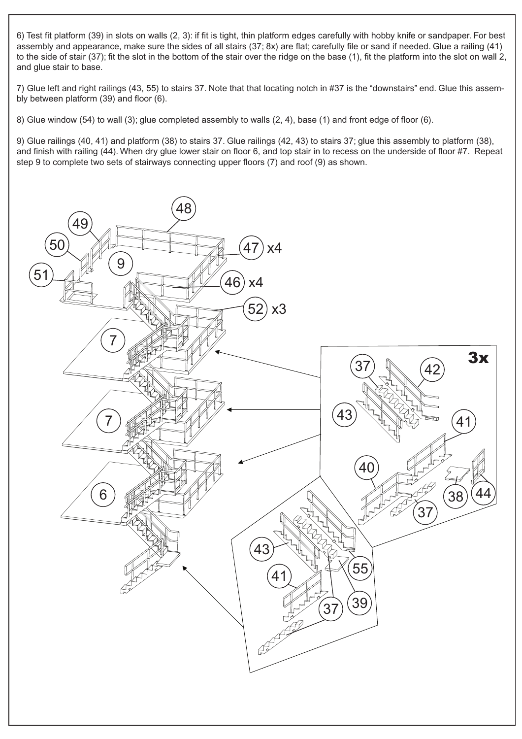6) Test fit platform (39) in slots on walls (2, 3): if fit is tight, thin platform edges carefully with hobby knife or sandpaper. For best assembly and appearance, make sure the sides of all stairs (37; 8x) are flat; carefully file or sand if needed. Glue a railing (41) to the side of stair (37); fit the slot in the bottom of the stair over the ridge on the base (1), fit the platform into the slot on wall 2, and glue stair to base.

7) Glue left and right railings (43, 55) to stairs 37. Note that that locating notch in #37 is the "downstairs" end. Glue this assembly between platform (39) and floor (6).

8) Glue window (54) to wall (3); glue completed assembly to walls (2, 4), base (1) and front edge of floor (6).

9) Glue railings (40, 41) and platform (38) to stairs 37. Glue railings (42, 43) to stairs 37; glue this assembly to platform (38), and finish with railing (44). When dry glue lower stair on floor 6, and top stair in to recess on the underside of floor #7. Repeat step 9 to complete two sets of stairways connecting upper floors (7) and roof (9) as shown.

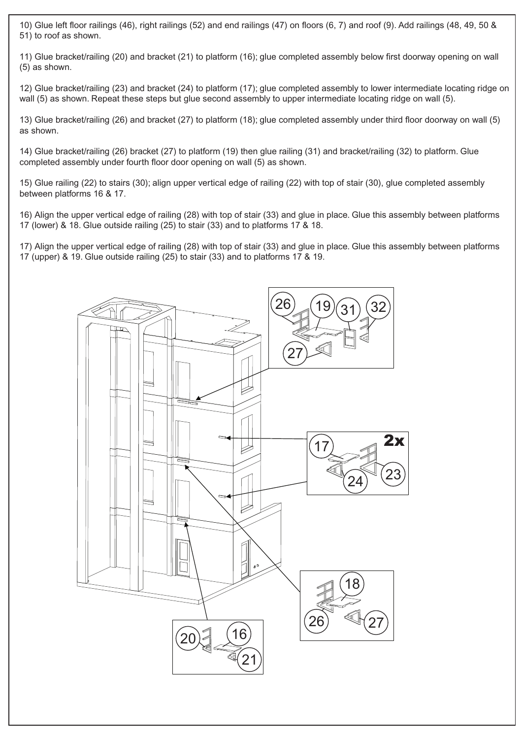10) Glue left floor railings (46), right railings (52) and end railings (47) on floors (6, 7) and roof (9). Add railings (48, 49, 50 & 51) to roof as shown.

11) Glue bracket/railing (20) and bracket (21) to platform (16); glue completed assembly below first doorway opening on wall (5) as shown.

12) Glue bracket/railing (23) and bracket (24) to platform (17); glue completed assembly to lower intermediate locating ridge on wall (5) as shown. Repeat these steps but glue second assembly to upper intermediate locating ridge on wall (5).

13) Glue bracket/railing (26) and bracket (27) to platform (18); glue completed assembly under third floor doorway on wall (5) as shown.

14) Glue bracket/railing (26) bracket (27) to platform (19) then glue railing (31) and bracket/railing (32) to platform. Glue completed assembly under fourth floor door opening on wall (5) as shown.

15) Glue railing (22) to stairs (30); align upper vertical edge of railing (22) with top of stair (30), glue completed assembly between platforms 16 & 17.

16) Align the upper vertical edge of railing (28) with top of stair (33) and glue in place. Glue this assembly between platforms 17 (lower) & 18. Glue outside railing (25) to stair (33) and to platforms 17 & 18.

17) Align the upper vertical edge of railing (28) with top of stair (33) and glue in place. Glue this assembly between platforms 17 (upper) & 19. Glue outside railing (25) to stair (33) and to platforms 17 & 19.